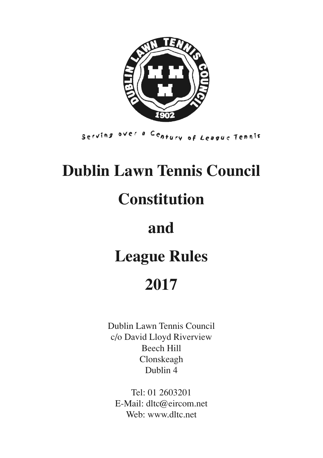

Serving over a Century of League Tennis

# **Dublin Lawn Tennis Council**

# **Constitution**

# **and**

# **League Rules**

# **2017**

Dublin Lawn Tennis Council c/o David Lloyd Riverview Beech Hill Clonskeagh Dublin 4

Tel: 01 2603201 E-Mail: dltc@eircom.net Web: www.dltc.net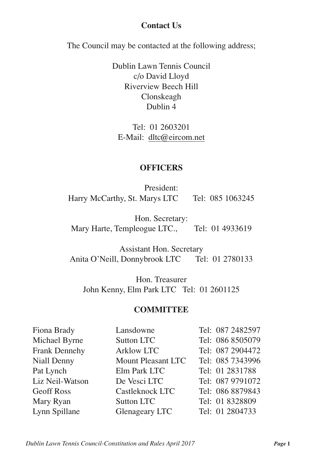#### **Contact Us**

The Council may be contacted at the following address;

Dublin Lawn Tennis Council c/o David Lloyd Riverview Beech Hill Clonskeagh Dublin 4

Tel: 01 2603201 E-Mail: dltc@eircom.net

#### **OFFICERS**

President: Harry McCarthy, St. Marys LTC Tel: 085 1063245

Hon. Secretary: Mary Harte, Templeogue LTC., Tel: 01 4933619

Assistant Hon. Secretary Anita O'Neill, Donnybrook LTC Tel: 01 2780133

Hon. Treasurer John Kenny, Elm Park LTC Tel: 01 2601125

#### **COMMITTEE**

| Fiona Brady       | Lansdowne             | Tel: 087 2482597 |
|-------------------|-----------------------|------------------|
| Michael Byrne     | <b>Sutton LTC</b>     | Tel: 086 8505079 |
| Frank Dennehy     | <b>Arklow LTC</b>     | Tel: 087 2904472 |
| Niall Denny       | Mount Pleasant LTC    | Tel: 085 7343996 |
| Pat Lynch         | Elm Park LTC          | Tel: 01 2831788  |
| Liz Neil-Watson   | De Vesci LTC          | Tel: 087 9791072 |
| <b>Geoff Ross</b> | Castleknock LTC       | Tel: 086 8879843 |
| Mary Ryan         | Sutton LTC            | Tel: 01 8328809  |
| Lynn Spillane     | <b>Glenageary LTC</b> | Tel: 01 2804733  |

*Dublin Lawn Tennis Council-Constitution and Rules April 2017 Page* **1**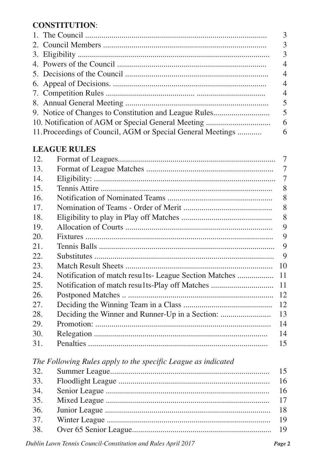# **CONSTITUTION:**

|                                                             | $\overline{3}$           |
|-------------------------------------------------------------|--------------------------|
|                                                             | $\overline{3}$           |
|                                                             | $\overline{3}$           |
|                                                             | $\overline{4}$           |
|                                                             | $\overline{4}$           |
|                                                             | $\overline{4}$           |
|                                                             | $\overline{4}$           |
|                                                             | $\overline{\phantom{0}}$ |
|                                                             |                          |
|                                                             |                          |
| 11. Proceedings of Council, AGM or Special General Meetings | 6                        |
|                                                             |                          |

# **LEAGUE RULES**

| 12. |                                                                | 7              |
|-----|----------------------------------------------------------------|----------------|
| 13. |                                                                | 7              |
| 14. |                                                                | $\overline{7}$ |
| 15. |                                                                | 8              |
| 16. |                                                                | 8              |
| 17. |                                                                | 8              |
| 18. |                                                                | 8              |
| 19. |                                                                | 9              |
| 20. |                                                                | 9              |
| 21. |                                                                | 9              |
| 22. |                                                                | 9              |
| 23. |                                                                | 10             |
| 24. |                                                                | 11             |
| 25. | Notification of match results-Play off Matches                 | 11             |
| 26. |                                                                | 12             |
| 27. |                                                                | 12             |
| 28. | Deciding the Winner and Runner-Up in a Section:                | 13             |
| 29. |                                                                | 14             |
| 30. |                                                                | 14             |
| 31. |                                                                | 15             |
|     | The Following Rules apply to the specific League as indicated  |                |
|     | 22 $\mathcal{C}_{\text{unimant}}$ $\mathcal{C}_{\text{nonim}}$ | 15             |

| 33. |  |
|-----|--|
| 34. |  |
| 35. |  |
|     |  |
| 37. |  |
|     |  |
|     |  |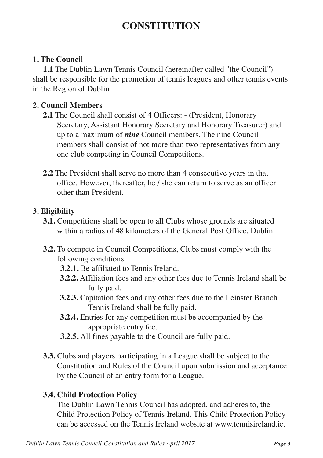# **CONSTITUTION**

# **1. The Council**

**1.1** The Dublin Lawn Tennis Council (hereinafter called "the Council") shall be responsible for the promotion of tennis leagues and other tennis events in the Region of Dublin

# **2. Council Members**

- **2.1** The Council shall consist of 4 Officers: (President, Honorary Secretary, Assistant Honorary Secretary and Honorary Treasurer) and up to a maximum of *nine* Council members. The nine Council members shall consist of not more than two representatives from any one club competing in Council Competitions.
- **2.2** The President shall serve no more than 4 consecutive years in that office. However, thereafter, he / she can return to serve as an officer other than President.

#### **3. Eligibility**

- **3.1.** Competitions shall be open to all Clubs whose grounds are situated within a radius of 48 kilometers of the General Post Office, Dublin.
- **3.2.** To compete in Council Competitions, Clubs must comply with the following conditions:
	- **3.2.1.** Be affiliated to Tennis Ireland.
	- **3.2.2.** Affiliation fees and any other fees due to Tennis Ireland shall be fully paid.
	- **3.2.3.** Capitation fees and any other fees due to the Leinster Branch Tennis Ireland shall be fully paid.
	- **3.2.4.** Entries for any competition must be accompanied by the appropriate entry fee.
	- **3.2.5.** All fines payable to the Council are fully paid.
- **3.3.** Clubs and players participating in a League shall be subject to the Constitution and Rules of the Council upon submission and acceptance by the Council of an entry form for a League.

#### **3.4. Child Protection Policy**

The Dublin Lawn Tennis Council has adopted, and adheres to, the Child Protection Policy of Tennis Ireland. This Child Protection Policy can be accessed on the Tennis Ireland website at www.tennisireland.ie.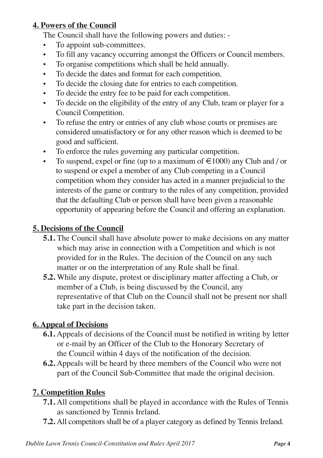# **4. Powers of the Council**

The Council shall have the following powers and duties: -

- To appoint sub-committees.
- To fill any vacancy occurring amongst the Officers or Council members.
- To organise competitions which shall be held annually.
- To decide the dates and format for each competition.
- To decide the closing date for entries to each competition.
- To decide the entry fee to be paid for each competition.
- To decide on the eligibility of the entry of any Club, team or player for a Council Competition.
- To refuse the entry or entries of any club whose courts or premises are considered unsatisfactory or for any other reason which is deemed to be good and sufficient.
- To enforce the rules governing any particular competition.
- To suspend, expel or fine (up to a maximum of  $\epsilon$ 1000) any Club and / or to suspend or expel a member of any Club competing in a Council competition whom they consider has acted in a manner prejudicial to the interests of the game or contrary to the rules of any competition, provided that the defaulting Club or person shall have been given a reasonable opportunity of appearing before the Council and offering an explanation.

# **5. Decisions of the Council**

- **5.1.** The Council shall have absolute power to make decisions on any matter which may arise in connection with a Competition and which is not provided for in the Rules. The decision of the Council on any such matter or on the interpretation of any Rule shall be final.
- **5.2.** While any dispute, protest or disciplinary matter affecting a Club, or member of a Club, is being discussed by the Council, any representative of that Club on the Council shall not be present nor shall take part in the decision taken.

# **6. Appeal of Decisions**

- **6.1.** Appeals of decisions of the Council must be notified in writing by letter or e-mail by an Officer of the Club to the Honorary Secretary of the Council within 4 days of the notification of the decision.
- **6.2.** Appeals will be heard by three members of the Council who were not part of the Council Sub-Committee that made the original decision.

# **7. Competition Rules**

- **7.1.** All competitions shall be played in accordance with the Rules of Tennis as sanctioned by Tennis Ireland.
- **7.2.** All competitors shall be of a player category as defined by Tennis Ireland.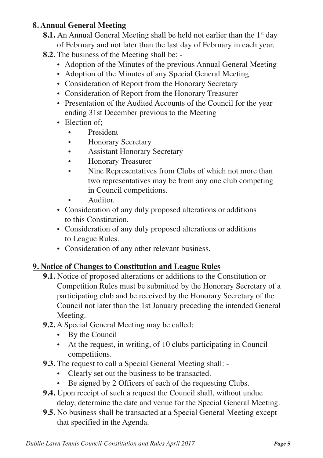# **8. Annual General Meeting**

- **8.1.** An Annual General Meeting shall be held not earlier than the 1<sup>st</sup> day of February and not later than the last day of February in each year.
- **8.2.** The business of the Meeting shall be:
	- Adoption of the Minutes of the previous Annual General Meeting
	- Adoption of the Minutes of any Special General Meeting
	- Consideration of Report from the Honorary Secretary
	- Consideration of Report from the Honorary Treasurer
	- Presentation of the Audited Accounts of the Council for the year ending 31st December previous to the Meeting
	- Election of: -
		- President
		- Honorary Secretary
		- Assistant Honorary Secretary
		- Honorary Treasurer
		- Nine Representatives from Clubs of which not more than two representatives may be from any one club competing in Council competitions.
		- Auditor.
	- Consideration of any duly proposed alterations or additions to this Constitution.
	- Consideration of any duly proposed alterations or additions to League Rules.
	- Consideration of any other relevant business.

#### **9. Notice of Changes to Constitution and League Rules**

- **9.1.** Notice of proposed alterations or additions to the Constitution or Competition Rules must be submitted by the Honorary Secretary of a participating club and be received by the Honorary Secretary of the Council not later than the 1st January preceding the intended General Meeting.
- **9.2.** A Special General Meeting may be called:
	- By the Council
	- At the request, in writing, of 10 clubs participating in Council competitions.
- **9.3.** The request to call a Special General Meeting shall:
	- Clearly set out the business to be transacted.
	- Be signed by 2 Officers of each of the requesting Clubs.
- **9.4.** Upon receipt of such a request the Council shall, without undue delay, determine the date and venue for the Special General Meeting.
- **9.5.** No business shall be transacted at a Special General Meeting except that specified in the Agenda.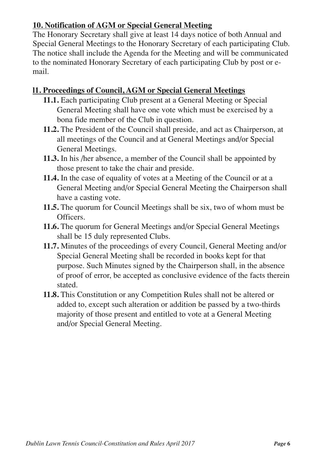# **10. Notification of AGM or Special General Meeting**

The Honorary Secretary shall give at least 14 days notice of both Annual and Special General Meetings to the Honorary Secretary of each participating Club. The notice shall include the Agenda for the Meeting and will be communicated to the nominated Honorary Secretary of each participating Club by post or email.

#### **l1. Proceedings of Council, AGM or Special General Meetings**

- **11.1.** Each participating Club present at a General Meeting or Special General Meeting shall have one vote which must be exercised by a bona fide member of the Club in question.
- **11.2.** The President of the Council shall preside, and act as Chairperson, at all meetings of the Council and at General Meetings and/or Special General Meetings.
- **11.3.** In his /her absence, a member of the Council shall be appointed by those present to take the chair and preside.
- **11.4.** In the case of equality of votes at a Meeting of the Council or at a General Meeting and/or Special General Meeting the Chairperson shall have a casting vote.
- **11.5.** The quorum for Council Meetings shall be six, two of whom must be Officers.
- **11.6.** The quorum for General Meetings and/or Special General Meetings shall be 15 duly represented Clubs.
- **11.7.** Minutes of the proceedings of every Council, General Meeting and/or Special General Meeting shall be recorded in books kept for that purpose. Such Minutes signed by the Chairperson shall, in the absence of proof of error, be accepted as conclusive evidence of the facts therein stated.
- **11.8.** This Constitution or any Competition Rules shall not be altered or added to, except such alteration or addition be passed by a two-thirds majority of those present and entitled to vote at a General Meeting and/or Special General Meeting.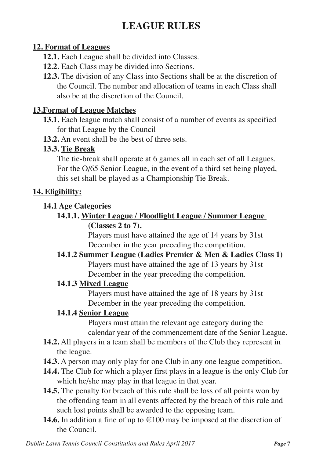# **LEAGUE RULES**

### **12. Format of Leagues**

- **12.1.** Each League shall be divided into Classes.
- **12.2.** Each Class may be divided into Sections.
- **12.3.** The division of any Class into Sections shall be at the discretion of the Council. The number and allocation of teams in each Class shall also be at the discretion of the Council.

# **13.Format of League Matches**

- **13.1.** Each league match shall consist of a number of events as specified for that League by the Council
- **13.2.** An event shall be the best of three sets.

# **13.3. Tie Break**

The tie-break shall operate at 6 games all in each set of all Leagues. For the O/65 Senior League, in the event of a third set being played, this set shall be played as a Championship Tie Break.

# **14. Eligibility:**

# **14.1 Age Categories**

**14.1.1. Winter League / Floodlight League / Summer League (Classes 2 to 7).**

Players must have attained the age of 14 years by 31st December in the year preceding the competition.

**14.1.2 Summer League (Ladies Premier & Men & Ladies Class 1)** Players must have attained the age of 13 years by 31st

December in the year preceding the competition.

# **14.1.3 Mixed League**

Players must have attained the age of 18 years by 31st December in the year preceding the competition.

# **14.1.4 Senior League**

Players must attain the relevant age category during the calendar year of the commencement date of the Senior League.

- **14.2.** All players in a team shall be members of the Club they represent in the league.
- **14.3.** A person may only play for one Club in any one league competition.
- **14.4.** The Club for which a player first plays in a league is the only Club for which he/she may play in that league in that year.
- **14.5.** The penalty for breach of this rule shall be loss of all points won by the offending team in all events affected by the breach of this rule and such lost points shall be awarded to the opposing team.
- **14.6.** In addition a fine of up to  $\epsilon$ 100 may be imposed at the discretion of the Council.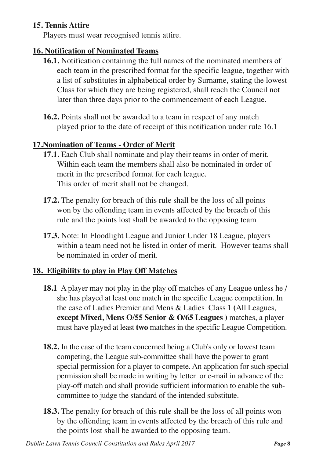# **15. Tennis Attire**

Players must wear recognised tennis attire.

#### **16. Notification of Nominated Teams**

- **16.1.** Notification containing the full names of the nominated members of each team in the prescribed format for the specific league, together with a list of substitutes in alphabetical order by Surname, stating the lowest Class for which they are being registered, shall reach the Council not later than three days prior to the commencement of each League.
- **16.2.** Points shall not be awarded to a team in respect of any match played prior to the date of receipt of this notification under rule 16.1

#### **17.Nomination of Teams - Order of Merit**

- **17.1.** Each Club shall nominate and play their teams in order of merit. Within each team the members shall also be nominated in order of merit in the prescribed format for each league. This order of merit shall not be changed.
- **17.2.** The penalty for breach of this rule shall be the loss of all points won by the offending team in events affected by the breach of this rule and the points lost shall be awarded to the opposing team
- **17.3.** Note: In Floodlight League and Junior Under 18 League, players within a team need not be listed in order of merit. However teams shall be nominated in order of merit.

#### **18. Eligibility to play in Play Off Matches**

- **18.1** A player may not play in the play off matches of any League unless he / she has played at least one match in the specific League competition. In the case of Ladies Premier and Mens & Ladies Class 1 **(**All Leagues, **except Mixed, Mens O/55 Senior & O/65 Leagues )** matches, a player must have played at least **two** matches in the specific League Competition.
- **18.2.** In the case of the team concerned being a Club's only or lowest team competing, the League sub-committee shall have the power to grant special permission for a player to compete. An application for such special permission shall be made in writing by letter or e-mail in advance of the play-off match and shall provide sufficient information to enable the subcommittee to judge the standard of the intended substitute.
- **18.3.** The penalty for breach of this rule shall be the loss of all points won by the offending team in events affected by the breach of this rule and the points lost shall be awarded to the opposing team.

*Dublin Lawn Tennis Council-Constitution and Rules April 2017 Page* **8**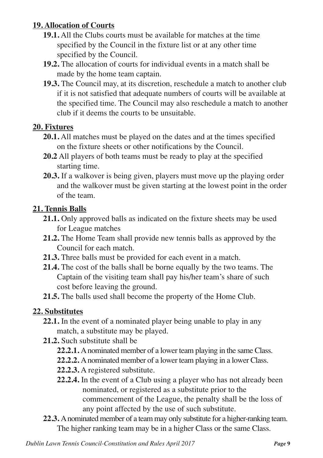# **19. Allocation of Courts**

- **19.1.** All the Clubs courts must be available for matches at the time specified by the Council in the fixture list or at any other time specified by the Council.
- **19.2.** The allocation of courts for individual events in a match shall be made by the home team captain.
- **19.3.** The Council may, at its discretion, reschedule a match to another club if it is not satisfied that adequate numbers of courts will be available at the specified time. The Council may also reschedule a match to another club if it deems the courts to be unsuitable.

#### **20. Fixtures**

- **20.1.** All matches must be played on the dates and at the times specified on the fixture sheets or other notifications by the Council.
- **20.2** All players of both teams must be ready to play at the specified starting time.
- **20.3.** If a walkover is being given, players must move up the playing order and the walkover must be given starting at the lowest point in the order of the team.

# **21. Tennis Balls**

- **21.1.** Only approved balls as indicated on the fixture sheets may be used for League matches
- **21.2.** The Home Team shall provide new tennis balls as approved by the Council for each match.
- **21.3.** Three balls must be provided for each event in a match.
- **21.4.** The cost of the balls shall be borne equally by the two teams. The Captain of the visiting team shall pay his/her team's share of such cost before leaving the ground.
- **21.5.** The balls used shall become the property of the Home Club.

# **22. Substitutes**

- **22.1.** In the event of a nominated player being unable to play in any match, a substitute may be played.
- **21.2.** Such substitute shall be
	- **22.2.1.** Anominated member of a lower team playing in the same Class.
	- **22.2.2.** Anominated member of a lower team playing in a lower Class.
	- **22.2.3.** A registered substitute.
	- **22.2.4.** In the event of a Club using a player who has not already been nominated, or registered as a substitute prior to the commencement of the League, the penalty shall be the loss of any point affected by the use of such substitute.
- **22.3.** Anominated member of a team may only substitute for a higher-ranking team. The higher ranking team may be in a higher Class or the same Class.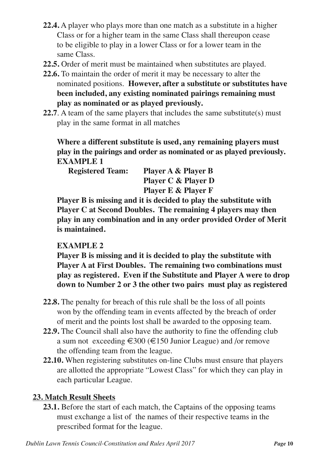- **22.4.** A player who plays more than one match as a substitute in a higher Class or for a higher team in the same Class shall thereupon cease to be eligible to play in a lower Class or for a lower team in the same Class.
- **22.5.** Order of merit must be maintained when substitutes are played.
- **22.6.** To maintain the order of merit it may be necessary to alter the nominated positions. **However, after a substitute or substitutes have been included, any existing nominated pairings remaining must play as nominated or as played previously.**
- **22.7**. A team of the same players that includes the same substitute(s) must play in the same format in all matches

**Where a different substitute is used, any remaining players must play in the pairings and order as nominated or as played previously. EXAMPLE 1**

| <b>Registered Team:</b> | Player A & Player B            |
|-------------------------|--------------------------------|
|                         | <b>Player C &amp; Player D</b> |
|                         | <b>Player E &amp; Player F</b> |

**Player B is missing and it is decided to play the substitute with Player C at Second Doubles. The remaining 4 players may then play in any combination and in any order provided Order of Merit is maintained.**

# **EXAMPLE 2**

**Player B is missing and it is decided to play the substitute with Player A at First Doubles. The remaining two combinations must play as registered. Even if the Substitute and Player A were to drop down to Number 2 or 3 the other two pairs must play as registered**

- **22.8.** The penalty for breach of this rule shall be the loss of all points won by the offending team in events affected by the breach of order of merit and the points lost shall be awarded to the opposing team.
- **22.9.** The Council shall also have the authority to fine the offending club a sum not exceeding €300 (€150 Junior League) and /or remove the offending team from the league.
- **22.10.** When registering substitutes on-line Clubs must ensure that players are allotted the appropriate "Lowest Class" for which they can play in each particular League.

#### **23. Match Result Sheets**

**23.1.** Before the start of each match, the Captains of the opposing teams must exchange a list of the names of their respective teams in the prescribed format for the league.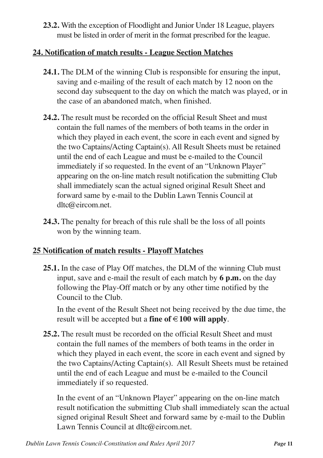**23.2.** With the exception of Floodlight and Junior Under 18 League, players must be listed in order of merit in the format prescribed for the league.

### **24. Notification of match results - League Section Matches**

- **24.1.** The DLM of the winning Club is responsible for ensuring the input, saving and e-mailing of the result of each match by 12 noon on the second day subsequent to the day on which the match was played, or in the case of an abandoned match, when finished.
- **24.2.** The result must be recorded on the official Result Sheet and must contain the full names of the members of both teams in the order in which they played in each event, the score in each event and signed by the two Captains/Acting Captain(s). All Result Sheets must be retained until the end of each League and must be e-mailed to the Council immediately if so requested. In the event of an "Unknown Player" appearing on the on-line match result notification the submitting Club shall immediately scan the actual signed original Result Sheet and forward same by e-mail to the Dublin Lawn Tennis Council at dltc@eircom.net.
- **24.3.** The penalty for breach of this rule shall be the loss of all points won by the winning team.

# **25 Notification of match results - Playoff Matches**

**25.1.** In the case of Play Off matches, the DLM of the winning Club must input, save and e-mail the result of each match by **6 p.m.** on the day following the Play-Off match or by any other time notified by the Council to the Club.

In the event of the Result Sheet not being received by the due time, the result will be accepted but a **fine of €100 will apply**.

**25.2.** The result must be recorded on the official Result Sheet and must contain the full names of the members of both teams in the order in which they played in each event, the score in each event and signed by the two Captains/Acting Captain(s). All Result Sheets must be retained until the end of each League and must be e-mailed to the Council immediately if so requested.

In the event of an "Unknown Player" appearing on the on-line match result notification the submitting Club shall immediately scan the actual signed original Result Sheet and forward same by e-mail to the Dublin Lawn Tennis Council at dltc@eircom.net.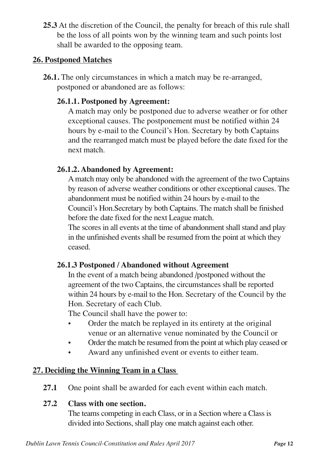**25.3** At the discretion of the Council, the penalty for breach of this rule shall be the loss of all points won by the winning team and such points lost shall be awarded to the opposing team.

#### **26. Postponed Matches**

**26.1.** The only circumstances in which a match may be re-arranged, postponed or abandoned are as follows:

# **26.1.1. Postponed by Agreement:**

A match may only be postponed due to adverse weather or for other exceptional causes. The postponement must be notified within 24 hours by e-mail to the Council's Hon. Secretary by both Captains and the rearranged match must be played before the date fixed for the next match.

# **26.1.2. Abandoned by Agreement:**

Amatch may only be abandoned with the agreement of the two Captains by reason of adverse weather conditions or other exceptional causes. The abandonment must be notified within 24 hours by e-mail to the Council's Hon.Secretary by both Captains. The match shall be finished before the date fixed for the next League match.

The scores in all events at the time of abandonment shall stand and play in the unfinished events shall be resumed from the point at which they ceased.

#### **26.1.3 Postponed / Abandoned without Agreement**

In the event of a match being abandoned /postponed without the agreement of the two Captains, the circumstances shall be reported within 24 hours by e-mail to the Hon. Secretary of the Council by the Hon. Secretary of each Club.

The Council shall have the power to:

- Order the match be replayed in its entirety at the original venue or an alternative venue nominated by the Council or
- Order the match be resumed from the point at which play ceased or
- Award any unfinished event or events to either team.

# **27. Deciding the Winning Team in a Class**

**27.1** One point shall be awarded for each event within each match.

# **27.2 Class with one section.**

The teams competing in each Class, or in a Section where a Class is divided into Sections, shall play one match against each other.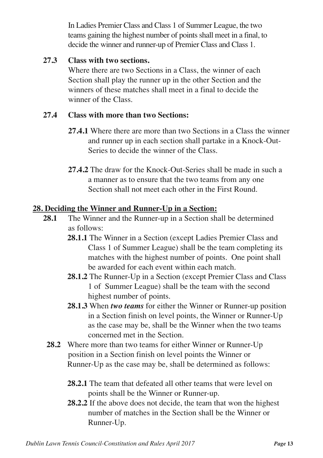In Ladies Premier Class and Class 1 of Summer League, the two teams gaining the highest number of pointsshall meet in a final, to decide the winner and runner-up of Premier Class and Class 1.

# **27.3 Class with two sections.**

Where there are two Sections in a Class, the winner of each Section shall play the runner up in the other Section and the winners of these matches shall meet in a final to decide the winner of the Class.

# **27.4 Class with more than two Sections:**

- **27.4.1** Where there are more than two Sections in a Class the winner and runner up in each section shall partake in a Knock-Out-Series to decide the winner of the Class.
- **27.4.2** The draw for the Knock-Out-Series shall be made in such a a manner as to ensure that the two teams from any one Section shall not meet each other in the First Round.

# **28. Deciding the Winner and Runner-Up in a Section:**

- **28.1** The Winner and the Runner-up in a Section shall be determined as follows:
	- **28.1.1** The Winner in a Section (except Ladies Premier Class and Class 1 of Summer League) shall be the team completing its matches with the highest number of points. One point shall be awarded for each event within each match.
	- **28.1.2** The Runner-Up in a Section (except Premier Class and Class 1 of Summer League) shall be the team with the second highest number of points.
	- **28.1.3** When *two teams* for either the Winner or Runner-up position in a Section finish on level points, the Winner or Runner-Up as the case may be, shall be the Winner when the two teams concerned met in the Section.
	- **28.2** Where more than two teams for either Winner or Runner-Up position in a Section finish on level points the Winner or Runner-Up as the case may be, shall be determined as follows:
		- **28.2.1** The team that defeated all other teams that were level on points shall be the Winner or Runner-up.
		- **28.2.2** If the above does not decide, the team that won the highest number of matches in the Section shall be the Winner or Runner-Up.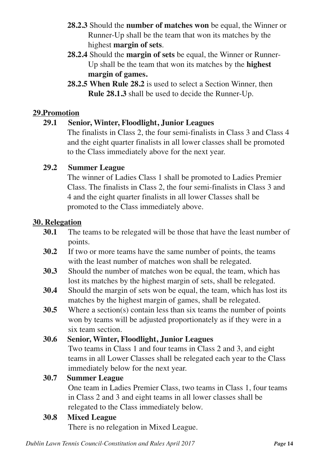- **28.2.3** Should the **number of matches won** be equal, the Winner or Runner-Up shall be the team that won its matches by the highest **margin of sets**.
- **28.2.4** Should the **margin of sets** be equal, the Winner or Runner-Up shall be the team that won its matches by the **highest margin of games.**
- **28.2.5 When Rule 28.2** is used to select a Section Winner, then **Rule 28.1.3** shall be used to decide the Runner-Up.

#### **29.Promotion**

#### **29.1 Senior, Winter, Floodlight, Junior Leagues**

The finalists in Class 2, the four semi-finalists in Class 3 and Class 4 and the eight quarter finalists in all lower classes shall be promoted to the Class immediately above for the next year.

#### **29.2 Summer League**

The winner of Ladies Class 1 shall be promoted to Ladies Premier Class. The finalists in Class 2, the four semi-finalists in Class 3 and 4 and the eight quarter finalists in all lower Classes shall be promoted to the Class immediately above.

#### **30. Relegation**

- **30.1** The teams to be relegated will be those that have the least number of points.
- **30.2** If two or more teams have the same number of points, the teams with the least number of matches won shall be relegated.
- **30.3** Should the number of matches won be equal, the team, which has lost its matches by the highest margin of sets, shall be relegated.
- **30.4** Should the margin of sets won be equal, the team, which has lost its matches by the highest margin of games, shall be relegated.
- **30.5** Where a section(s) contain less than six teams the number of points won by teams will be adjusted proportionately as if they were in a six team section.

#### **30.6 Senior, Winter, Floodlight, Junior Leagues**

Two teams in Class 1 and four teams in Class 2 and 3, and eight teams in all Lower Classes shall be relegated each year to the Class immediately below for the next year.

#### **30.7 Summer League**

One team in Ladies Premier Class, two teams in Class 1, four teams in Class 2 and 3 and eight teams in all lower classes shall be relegated to the Class immediately below.

#### **30.8 Mixed League**

There is no relegation in Mixed League.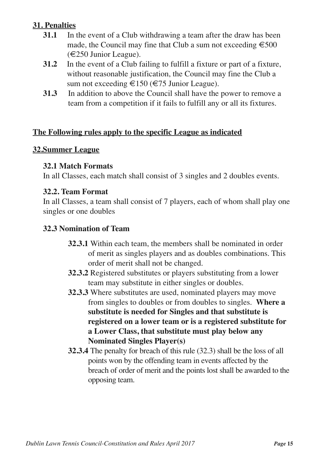# **31. Penalties**

- **31.1** In the event of a Club withdrawing a team after the draw has been made, the Council may fine that Club a sum not exceeding  $\epsilon$  500 (€250 Junior League).
- **31.2** In the event of a Club failing to fulfill a fixture or part of a fixture, without reasonable justification, the Council may fine the Club a sum not exceeding  $\epsilon$ 150 ( $\epsilon$ 75 Junior League).
- **31.3** In addition to above the Council shall have the power to remove a team from a competition if it fails to fulfill any or all its fixtures.

# **The Following rules apply to the specific League as indicated**

#### **32.Summer League**

#### **32.1 Match Formats**

In all Classes, each match shall consist of 3 singles and 2 doubles events.

#### **32.2. Team Format**

In all Classes, a team shall consist of 7 players, each of whom shall play one singles or one doubles

#### **32.3 Nomination of Team**

- **32.3.1** Within each team, the members shall be nominated in order of merit as singles players and as doubles combinations. This order of merit shall not be changed.
- **32.3.2** Registered substitutes or players substituting from a lower team may substitute in either singles or doubles.
- **32.3.3** Where substitutes are used, nominated players may move from singles to doubles or from doubles to singles. **Where a substitute is needed for Singles and that substitute is registered on a lower team or is a registered substitute for a Lower Class, that substitute must play below any Nominated Singles Player(s)**
- **32.3.4** The penalty for breach of this rule (32.3) shall be the loss of all points won by the offending team in events affected by the breach of order of merit and the points lost shall be awarded to the opposing team.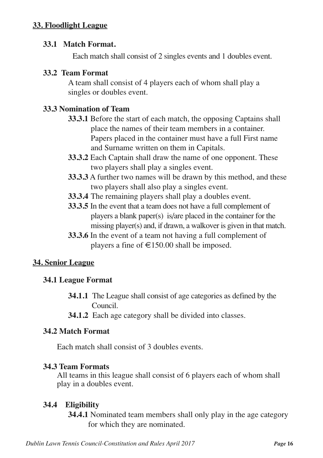#### **33. Floodlight League**

#### **33.1 Match Format.**

Each match shall consist of 2 singles events and 1 doubles event.

#### **33.2 Team Format**

A team shall consist of 4 players each of whom shall play a singles or doubles event.

#### **33.3 Nomination of Team**

- **33.3.1** Before the start of each match, the opposing Captains shall place the names of their team members in a container. Papers placed in the container must have a full First name and Surname written on them in Capitals.
- **33.3.2** Each Captain shall draw the name of one opponent. These two players shall play a singles event.
- **33.3.3** A further two names will be drawn by this method, and these two players shall also play a singles event.
- **33.3.4** The remaining players shall play a doubles event.
- **33.3.5** In the event that a team does not have a full complement of players a blank paper(s) is/are placed in the container for the missing player(s) and, if drawn, a walkover is given in that match.
- **33.3.6** In the event of a team not having a full complement of players a fine of  $\text{£}150.00$  shall be imposed.

#### **34. Senior League**

#### **34.1 League Format**

- **34.1.1** The League shall consist of age categories as defined by the Council.
- **34.1.2** Each age category shall be divided into classes.

#### **34.2 Match Format**

Each match shall consist of 3 doubles events.

#### **34.3 Team Formats**

All teams in this league shall consist of 6 players each of whom shall play in a doubles event.

#### **34.4 Eligibility**

**34.4.1** Nominated team members shall only play in the age category for which they are nominated.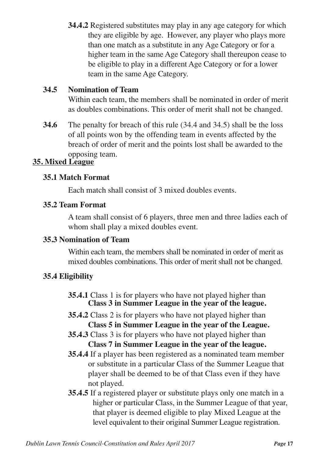**34.4.2** Registered substitutes may play in any age category for which they are eligible by age. However, any player who plays more than one match as a substitute in any Age Category or for a higher team in the same Age Category shall thereupon cease to be eligible to play in a different Age Category or for a lower team in the same Age Category.

# **34.5 Nomination of Team**

Within each team, the members shall be nominated in order of merit as doubles combinations. This order of merit shall not be changed.

**34.6** The penalty for breach of this rule (34.4 and 34.5) shall be the loss of all points won by the offending team in events affected by the breach of order of merit and the points lost shall be awarded to the opposing team.

# **35. Mixed League**

#### **35.1 Match Format**

Each match shall consist of 3 mixed doubles events.

#### **35.2 Team Format**

A team shall consist of 6 players, three men and three ladies each of whom shall play a mixed doubles event.

### **35.3 Nomination of Team**

Within each team, the members shall be nominated in order of merit as mixed doubles combinations. This order of merit shall not be changed.

#### **35.4 Eligibility**

- **35.4.1** Class 1 is for players who have not played higher than **Class 3 in Summer League in the year of the league.**
- **35.4.2** Class 2 is for players who have not played higher than **Class 5 in Summer League in the year of the League.**
- **35.4.3** Class 3 is for players who have not played higher than **Class 7 in Summer League in the year of the league.**
- **35.4.4** If a player has been registered as a nominated team member or substitute in a particular Class of the Summer League that player shall be deemed to be of that Class even if they have not played.
- **35.4.5** If a registered player or substitute plays only one match in a higher or particular Class, in the Summer League of that year, that player is deemed eligible to play Mixed League at the level equivalent to their original Summer League registration.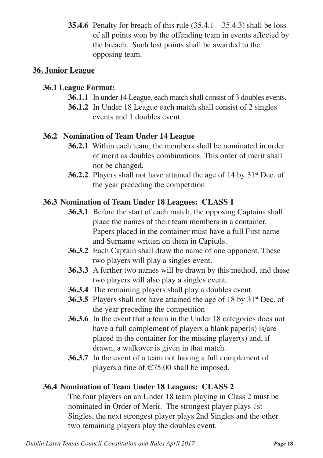**35.4.6** Penalty for breach of this rule  $(35.4.1 - 35.4.3)$  shall be loss of all points won by the offending team in events affected by the breach. Such lost points shall be awarded to the opposing team.

#### **36. Junior League**

#### **36.1 League Format:**

- **36.1.1** In under 14 League, each match shall consist of 3 doubles events.
- **36.1.2** In Under 18 League each match shall consist of 2 singles events and 1 doubles event.

# **36.2 Nomination of Team Under 14 League**

- **36.2.1** Within each team, the members shall be nominated in order of merit as doubles combinations. This order of merit shall not be changed.
- **36.2.2** Players shall not have attained the age of 14 by 31<sup>st</sup> Dec. of the year preceding the competition

# **36.3 Nomination of Team Under 18 Leagues: CLASS 1**

- **36.3.1** Before the start of each match, the opposing Captains shall place the names of their team members in a container. Papers placed in the container must have a full First name and Surname written on them in Capitals.
- **36.3.2** Each Captain shall draw the name of one opponent. These two players will play a singles event.
- **36.3.3** A further two names will be drawn by this method, and these two players will also play a singles event.
- **36.3.4** The remaining players shall play a doubles event.
- **36.3.5** Players shall not have attained the age of 18 by 31<sup>st</sup> Dec. of the year preceding the competition
- **36.3.6** In the event that a team in the Under 18 categories does not have a full complement of players a blank paper(s) is/are placed in the container for the missing player(s) and, if drawn, a walkover is given in that match.
- **36.3.7** In the event of a team not having a full complement of players a fine of  $\epsilon$ 75.00 shall be imposed.

# **36.4 Nomination of Team Under 18 Leagues: CLASS 2**

The four players on an Under 18 team playing in Class 2 must be nominated in Order of Merit. The strongest player plays 1st Singles, the next strongest player plays 2nd Singles and the other two remaining players play the doubles event.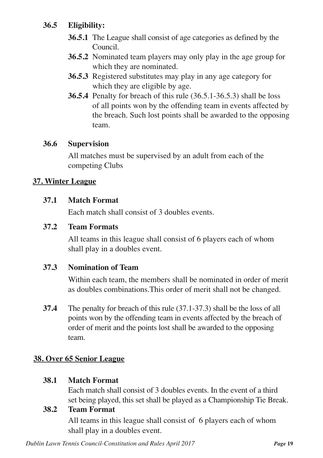# **36.5 Eligibility:**

- **36.5.1** The League shall consist of age categories as defined by the Council.
- **36.5.2** Nominated team players may only play in the age group for which they are nominated.
- **36.5.3** Registered substitutes may play in any age category for which they are eligible by age.
- **36.5.4** Penalty for breach of this rule (36.5.1-36.5.3) shall be loss of all points won by the offending team in events affected by the breach. Such lost points shall be awarded to the opposing team.

#### **36.6 Supervision**

All matches must be supervised by an adult from each of the competing Clubs

#### **37. Winter League**

#### **37.1 Match Format**

Each match shall consist of 3 doubles events.

#### **37.2 Team Formats**

All teams in this league shall consist of 6 players each of whom shall play in a doubles event.

#### **37.3 Nomination of Team**

Within each team, the members shall be nominated in order of merit as doubles combinations.This order of merit shall not be changed.

**37.4** The penalty for breach of this rule (37.1-37.3) shall be the loss of all points won by the offending team in events affected by the breach of order of merit and the points lost shall be awarded to the opposing team.

#### **38. Over 65 Senior League**

#### **38.1 Match Format**

Each match shall consist of 3 doubles events. In the event of a third set being played, this set shall be played as a Championship Tie Break.

#### **38.2 Team Format**

All teams in this league shall consist of 6 players each of whom shall play in a doubles event.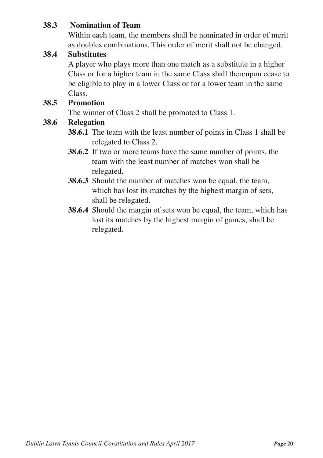#### **38.3 Nomination of Team**

Within each team, the members shall be nominated in order of merit as doubles combinations. This order of merit shall not be changed.

#### **38.4 Substitutes**

A player who plays more than one match as a substitute in a higher Class or for a higher team in the same Class shall thereupon cease to be eligible to play in a lower Class or for a lower team in the same Class.

#### **38.5 Promotion**

The winner of Class 2 shall be promoted to Class 1.

#### **38.6 Relegation**

- **38.6.1** The team with the least number of points in Class 1 shall be relegated to Class 2.
- **38.6.2** If two or more teams have the same number of points, the team with the least number of matches won shall be relegated.
- **38.6.3** Should the number of matches won be equal, the team, which has lost its matches by the highest margin of sets, shall be relegated.
- **38.6.4** Should the margin of sets won be equal, the team, which has lost its matches by the highest margin of games, shall be relegated.